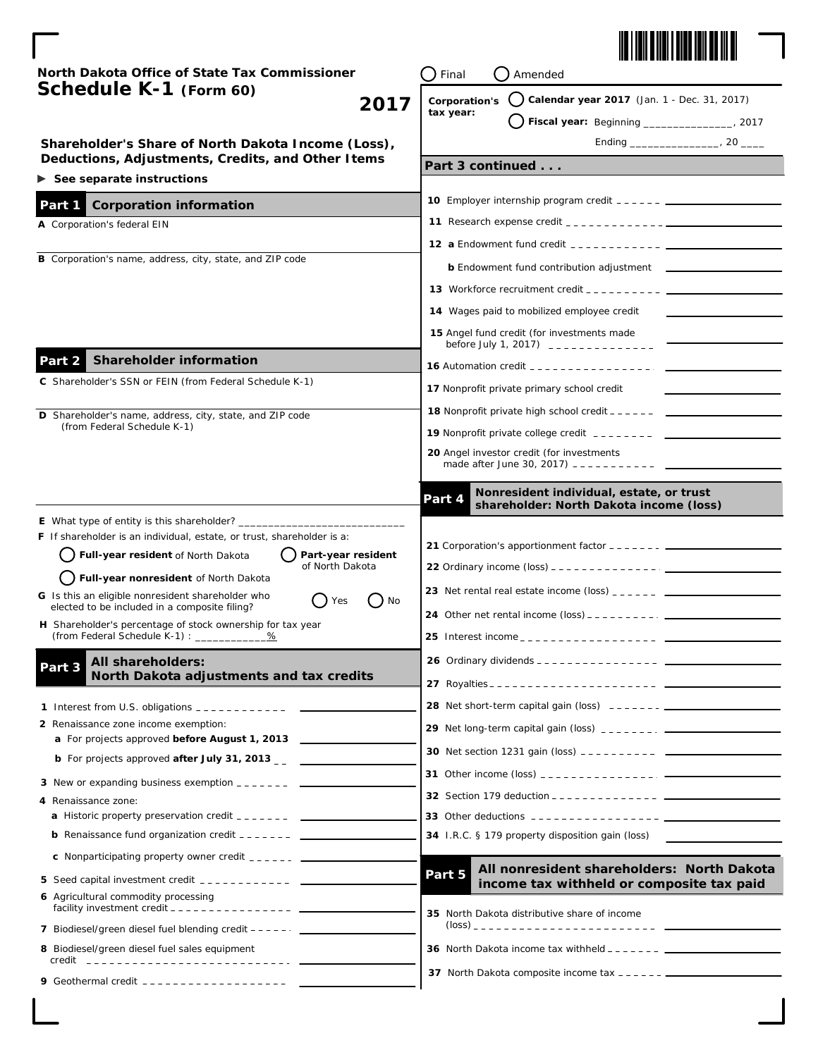

| North Dakota Office of State Tax Commissioner<br>Schedule K-1 (Form 60)<br>2017                                                                                                                                                                                                                                                                                                                                                         | Final<br>Amended |                                                                                                                                                                                              |  |
|-----------------------------------------------------------------------------------------------------------------------------------------------------------------------------------------------------------------------------------------------------------------------------------------------------------------------------------------------------------------------------------------------------------------------------------------|------------------|----------------------------------------------------------------------------------------------------------------------------------------------------------------------------------------------|--|
|                                                                                                                                                                                                                                                                                                                                                                                                                                         | Corporation's    | $\binom{1}{2}$ Calendar year 2017 (Jan. 1 - Dec. 31, 2017)                                                                                                                                   |  |
|                                                                                                                                                                                                                                                                                                                                                                                                                                         | tax year:        | Fiscal year: Beginning _________________, 2017                                                                                                                                               |  |
| Shareholder's Share of North Dakota Income (Loss),                                                                                                                                                                                                                                                                                                                                                                                      |                  |                                                                                                                                                                                              |  |
| Deductions, Adjustments, Credits, and Other Items                                                                                                                                                                                                                                                                                                                                                                                       | Part 3 continued |                                                                                                                                                                                              |  |
| $\triangleright$ See separate instructions                                                                                                                                                                                                                                                                                                                                                                                              |                  |                                                                                                                                                                                              |  |
| Part 1<br><b>Corporation information</b>                                                                                                                                                                                                                                                                                                                                                                                                |                  |                                                                                                                                                                                              |  |
| A Corporation's federal EIN                                                                                                                                                                                                                                                                                                                                                                                                             |                  |                                                                                                                                                                                              |  |
| B Corporation's name, address, city, state, and ZIP code                                                                                                                                                                                                                                                                                                                                                                                |                  |                                                                                                                                                                                              |  |
|                                                                                                                                                                                                                                                                                                                                                                                                                                         |                  | <b>b</b> Endowment fund contribution adjustment <b>Last Contract Control</b>                                                                                                                 |  |
|                                                                                                                                                                                                                                                                                                                                                                                                                                         |                  | <b>13</b> Workforce recruitment credit $\frac{1}{2}$ $\frac{1}{2}$ $\frac{1}{2}$ $\frac{1}{2}$ $\frac{1}{2}$ $\frac{1}{2}$                                                                   |  |
|                                                                                                                                                                                                                                                                                                                                                                                                                                         |                  | 14 Wages paid to mobilized employee credit                                                                                                                                                   |  |
|                                                                                                                                                                                                                                                                                                                                                                                                                                         |                  | 15 Angel fund credit (for investments made                                                                                                                                                   |  |
| <b>Shareholder information</b><br>Part 2                                                                                                                                                                                                                                                                                                                                                                                                |                  | <b>16</b> Automation credit $\frac{1}{2}$ $\frac{1}{2}$ $\frac{1}{2}$ $\frac{1}{2}$ $\frac{1}{2}$ $\frac{1}{2}$ $\frac{1}{2}$ $\frac{1}{2}$                                                  |  |
| C Shareholder's SSN or FEIN (from Federal Schedule K-1)                                                                                                                                                                                                                                                                                                                                                                                 |                  |                                                                                                                                                                                              |  |
|                                                                                                                                                                                                                                                                                                                                                                                                                                         |                  | 17 Nonprofit private primary school credit                                                                                                                                                   |  |
| D Shareholder's name, address, city, state, and ZIP code<br>(from Federal Schedule K-1)                                                                                                                                                                                                                                                                                                                                                 |                  | <b>18</b> Nonprofit private high school credit $- - - -$                                                                                                                                     |  |
|                                                                                                                                                                                                                                                                                                                                                                                                                                         |                  | <b>19</b> Nonprofit private college credit $       -$                                                                                                                                        |  |
|                                                                                                                                                                                                                                                                                                                                                                                                                                         |                  | 20 Angel investor credit (for investments<br>made after June 30, 2017) -----------                                                                                                           |  |
|                                                                                                                                                                                                                                                                                                                                                                                                                                         | Part 4           | Nonresident individual, estate, or trust<br>shareholder: North Dakota income (loss)                                                                                                          |  |
| <b>F</b> If shareholder is an individual, estate, or trust, shareholder is a:<br>Full-year resident of North Dakota<br>Part-year resident<br>of North Dakota<br>Full-year nonresident of North Dakota<br>G Is this an eligible nonresident shareholder who<br>Yes<br>$)$ No<br>elected to be included in a composite filing?<br>H Shareholder's percentage of stock ownership for tax year<br>(from Federal Schedule K-1) : ___________ |                  | <b>22</b> Ordinary income $(\text{loss})$ _ _ _ _ _ _ _ _ _ _ _ _ _ _ _ _<br>23 Net rental real estate income (loss) $2.2 - 2.2 - 2.2$<br>25 Interest income _ _ _ _ _ _ _ _ _ _ _ _ _ _ _ _ |  |
| All shareholders:                                                                                                                                                                                                                                                                                                                                                                                                                       |                  |                                                                                                                                                                                              |  |
| Part 3<br>North Dakota adjustments and tax credits                                                                                                                                                                                                                                                                                                                                                                                      |                  |                                                                                                                                                                                              |  |
| 1 Interest from U.S. obligations ____________ ____                                                                                                                                                                                                                                                                                                                                                                                      |                  | 28 Net short-term capital gain (loss) ------- [[2010] Net short-term capital gain (loss)                                                                                                     |  |
| 2 Renaissance zone income exemption:                                                                                                                                                                                                                                                                                                                                                                                                    |                  |                                                                                                                                                                                              |  |
| a For projects approved before August 1, 2013                                                                                                                                                                                                                                                                                                                                                                                           |                  |                                                                                                                                                                                              |  |
| <b>b</b> For projects approved <i>after July 31, 2013</i>                                                                                                                                                                                                                                                                                                                                                                               |                  |                                                                                                                                                                                              |  |
| 3 New or expanding business exemption _______ ___                                                                                                                                                                                                                                                                                                                                                                                       |                  |                                                                                                                                                                                              |  |
| 4 Renaissance zone:                                                                                                                                                                                                                                                                                                                                                                                                                     |                  |                                                                                                                                                                                              |  |
|                                                                                                                                                                                                                                                                                                                                                                                                                                         |                  | 34 I.R.C. § 179 property disposition gain (loss)                                                                                                                                             |  |
| <b>c</b> Nonparticipating property owner credit ______ _____                                                                                                                                                                                                                                                                                                                                                                            |                  |                                                                                                                                                                                              |  |
|                                                                                                                                                                                                                                                                                                                                                                                                                                         | Part 5           | All nonresident shareholders: North Dakota                                                                                                                                                   |  |
| 6 Agricultural commodity processing                                                                                                                                                                                                                                                                                                                                                                                                     |                  | income tax withheld or composite tax paid                                                                                                                                                    |  |
|                                                                                                                                                                                                                                                                                                                                                                                                                                         |                  | 35 North Dakota distributive share of income                                                                                                                                                 |  |
| 7 Biodiesel/green diesel fuel blending credit - - - - - .                                                                                                                                                                                                                                                                                                                                                                               |                  |                                                                                                                                                                                              |  |
| 8 Biodiesel/green diesel fuel sales equipment<br><u>credit _____________________________</u>                                                                                                                                                                                                                                                                                                                                            |                  | <b>36</b> North Dakota income tax withheld $- - - - - - -$                                                                                                                                   |  |
| 9 Geothermal credit -------------------                                                                                                                                                                                                                                                                                                                                                                                                 |                  |                                                                                                                                                                                              |  |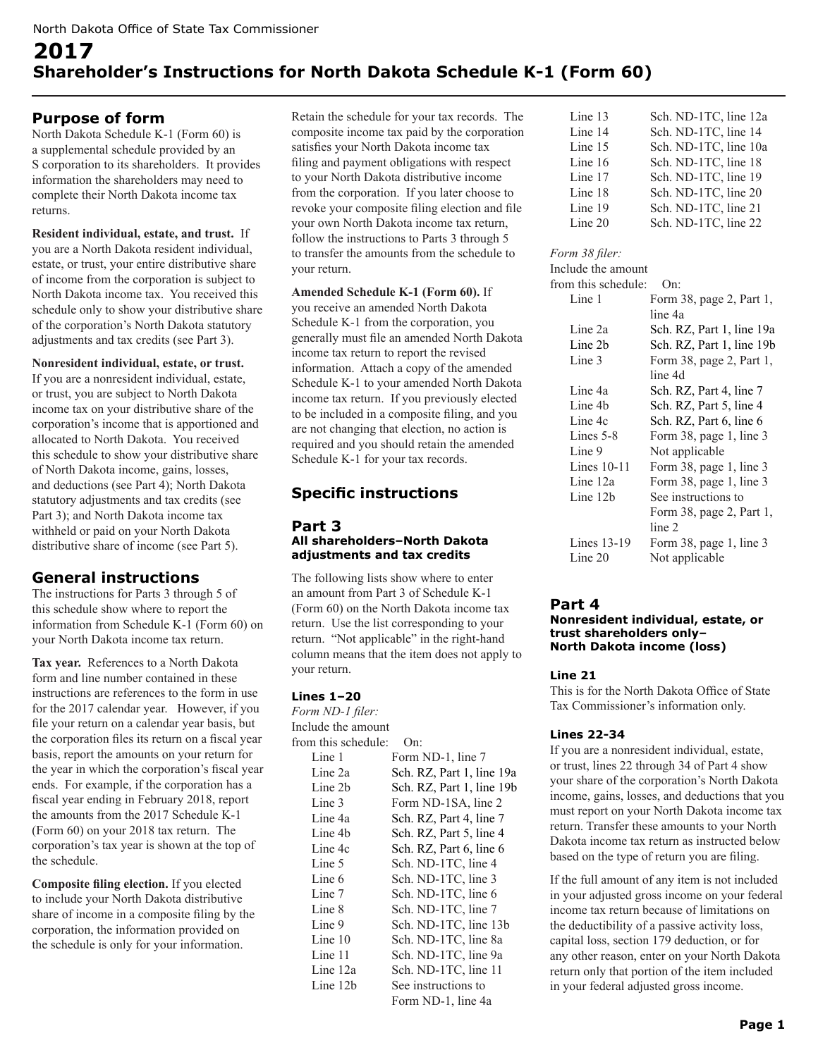# **2017 Shareholder's Instructions for North Dakota Schedule K-1 (Form 60)**

# **Purpose of form**

North Dakota Schedule K-1 (Form 60) is a supplemental schedule provided by an S corporation to its shareholders. It provides information the shareholders may need to complete their North Dakota income tax returns.

#### **Resident individual, estate, and trust.** If you are a North Dakota resident individual, estate, or trust, your entire distributive share of income from the corporation is subject to North Dakota income tax. You received this schedule only to show your distributive share of the corporation's North Dakota statutory adjustments and tax credits (see Part 3).

## **Nonresident individual, estate, or trust.**

If you are a nonresident individual, estate, or trust, you are subject to North Dakota income tax on your distributive share of the corporation's income that is apportioned and allocated to North Dakota. You received this schedule to show your distributive share of North Dakota income, gains, losses, and deductions (see Part 4); North Dakota statutory adjustments and tax credits (see Part 3); and North Dakota income tax withheld or paid on your North Dakota distributive share of income (see Part 5).

# **General instructions**

The instructions for Parts 3 through 5 of this schedule show where to report the information from Schedule K-1 (Form 60) on your North Dakota income tax return.

**Tax year.** References to a North Dakota form and line number contained in these instructions are references to the form in use for the 2017 calendar year. However, if you file your return on a calendar year basis, but the corporation files its return on a fiscal year basis, report the amounts on your return for the year in which the corporation's fiscal year ends. For example, if the corporation has a fiscal year ending in February 2018, report the amounts from the 2017 Schedule K-1 (Form 60) on your 2018 tax return. The corporation's tax year is shown at the top of the schedule.

**Composite filing election.** If you elected to include your North Dakota distributive share of income in a composite filing by the corporation, the information provided on the schedule is only for your information.

Retain the schedule for your tax records. The composite income tax paid by the corporation satisfies your North Dakota income tax filing and payment obligations with respect to your North Dakota distributive income from the corporation. If you later choose to revoke your composite filing election and file your own North Dakota income tax return, follow the instructions to Parts 3 through 5 to transfer the amounts from the schedule to your return.

**Amended Schedule K-1 (Form 60).** If you receive an amended North Dakota Schedule K-1 from the corporation, you generally must file an amended North Dakota income tax return to report the revised information. Attach a copy of the amended Schedule K-1 to your amended North Dakota income tax return. If you previously elected to be included in a composite filing, and you are not changing that election, no action is required and you should retain the amended Schedule K-1 for your tax records.

# **Specific instructions**

### **Part 3 All shareholders–North Dakota adjustments and tax credits**

The following lists show where to enter an amount from Part 3 of Schedule K-1 (Form 60) on the North Dakota income tax return. Use the list corresponding to your return. "Not applicable" in the right-hand column means that the item does not apply to your return.

# **Lines 1–20**

*Form ND-1 filer:* Include the amount from this schedule: On: Line 1 Form ND-1, line 7 Line 2a Sch. RZ, Part 1, line 19a Line 2b Sch. RZ, Part 1, line 19b Line 3 Form ND-1SA, line 2 Line 4a Sch. RZ, Part 4, line 7 Line 4b Sch. RZ, Part 5, line 4 Line 4c Sch. RZ, Part 6, line 6 Line 5 Sch. ND-1TC, line 4 Line 6 Sch. ND-1TC, line 3 Line 7 Sch. ND-1TC, line 6 Line 8 Sch. ND-1TC, line 7 Line 9 Sch. ND-1TC, line 13b Line 10 Sch. ND-1TC, line 8a Line 11 Sch. ND-1TC, line 9a Line 12a Sch. ND-1TC, line 11 Line 12b See instructions to Form ND-1, line 4a

| Line 13 | Sch. ND-1TC, line 12a |
|---------|-----------------------|
| Line 14 | Sch. ND-1TC, line 14  |
| Line 15 | Sch. ND-1TC, line 10a |
| Line 16 | Sch. ND-1TC, line 18  |
| Line 17 | Sch. ND-1TC, line 19  |
| Line 18 | Sch. ND-1TC, line 20  |
| Line 19 | Sch. ND-1TC, line 21  |
| Line 20 | Sch. ND-1TC, line 22  |

# *Form 38 filer:*

| Include the amount  |                           |
|---------------------|---------------------------|
| from this schedule: | On:                       |
| Line 1              | Form 38, page 2, Part 1,  |
|                     | line 4a                   |
| Line 2a             | Sch. RZ, Part 1, line 19a |
| Line 2b             | Sch. RZ, Part 1, line 19b |
| Line 3              | Form 38, page 2, Part 1,  |
|                     | line 4d                   |
| Line 4a             | Sch. RZ, Part 4, line 7   |
| Line 4b             | Sch. RZ, Part 5, line 4   |
| Line 4c             | Sch. RZ, Part 6, line 6   |
| Lines $5-8$         | Form 38, page 1, line 3   |
| Line 9              | Not applicable            |
| Lines $10-11$       | Form 38, page 1, line 3   |
| Line 12a            | Form 38, page 1, line 3   |
| Line 12b            | See instructions to       |
|                     | Form 38, page 2, Part 1,  |
|                     | line 2                    |
| Lines $13-19$       | Form 38, page 1, line 3   |
| Line 20             | Not applicable            |
|                     |                           |

# **Part 4**

#### **Nonresident individual, estate, or trust shareholders only– North Dakota income (loss)**

# **Line 21**

This is for the North Dakota Office of State Tax Commissioner's information only.

# **Lines 22-34**

If you are a nonresident individual, estate, or trust, lines 22 through 34 of Part 4 show your share of the corporation's North Dakota income, gains, losses, and deductions that you must report on your North Dakota income tax return. Transfer these amounts to your North Dakota income tax return as instructed below based on the type of return you are filing.

If the full amount of any item is not included in your adjusted gross income on your federal income tax return because of limitations on the deductibility of a passive activity loss, capital loss, section 179 deduction, or for any other reason, enter on your North Dakota return only that portion of the item included in your federal adjusted gross income.